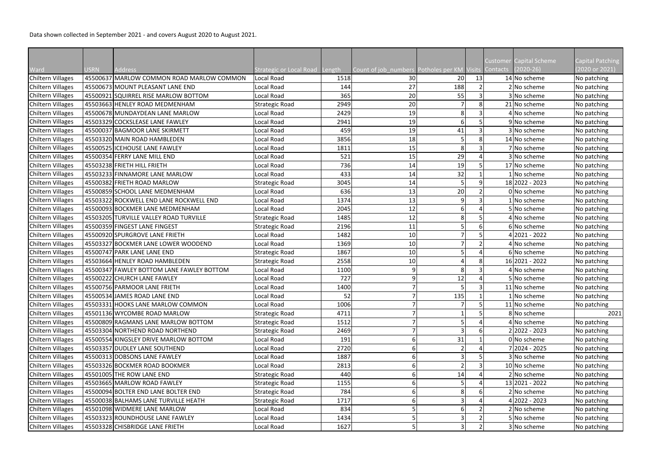Data shown collected in September 2021 - and covers August 2020 to August 2021.

|                          |             |                                           |                                       |      |                                                      |                 |    | <b>Customer Capital Scheme</b> | Capital Patching |
|--------------------------|-------------|-------------------------------------------|---------------------------------------|------|------------------------------------------------------|-----------------|----|--------------------------------|------------------|
| Ward                     | <b>USRN</b> | <b>Address</b>                            | <b>Strategic or Local Road Length</b> |      | Count of job_numbers Potholes per KM Visits Contacts |                 |    | $(2020-26)$                    | (2020 or 2021)   |
| <b>Chiltern Villages</b> |             | 45500637 MARLOW COMMON ROAD MARLOW COMMON | Local Road                            | 1518 | 30 <sup>°</sup>                                      | 20 <sup>°</sup> | 13 | 14 No scheme                   | No patching      |
| <b>Chiltern Villages</b> |             | 45500673 MOUNT PLEASANT LANE END          | Local Road                            | 144  | 27                                                   | 188             |    | 2 No scheme                    | No patching      |
| <b>Chiltern Villages</b> |             | 45500921 SQUIRREL RISE MARLOW BOTTOM      | Local Road                            | 365  | 20                                                   | 55              |    | 3 No scheme                    | No patching      |
| <b>Chiltern Villages</b> |             | 45503663 HENLEY ROAD MEDMENHAM            | Strategic Road                        | 2949 | 20                                                   |                 |    | 21 No scheme                   | No patching      |
| Chiltern Villages        |             | 45500678 MUNDAYDEAN LANE MARLOW           | Local Road                            | 2429 | 19                                                   | 8               |    | 4 No scheme                    | No patching      |
| <b>Chiltern Villages</b> |             | 45503329 COCKSLEASE LANE FAWLEY           | Local Road                            | 2941 | 19                                                   | 6               |    | 9 No scheme                    | No patching      |
| <b>Chiltern Villages</b> |             | 45500037 BAGMOOR LANE SKIRMETT            | Local Road                            | 459  | 19                                                   | 41              |    | 3 No scheme                    | No patching      |
| <b>Chiltern Villages</b> |             | 45503320 MAIN ROAD HAMBLEDEN              | Local Road                            | 3856 | 18                                                   |                 |    | 14 No scheme                   | No patching      |
| <b>Chiltern Villages</b> |             | 45500525 ICEHOUSE LANE FAWLEY             | Local Road                            | 1811 | 15                                                   | 8               |    | 7 No scheme                    | No patching      |
| Chiltern Villages        |             | 45500354 FERRY LANE MILL END              | Local Road                            | 521  | 15                                                   | 29              |    | 3 No scheme                    | No patching      |
| <b>Chiltern Villages</b> |             | 45503238 FRIETH HILL FRIETH               | Local Road                            | 736  | 14                                                   | 19              |    | 17 No scheme                   | No patching      |
| <b>Chiltern Villages</b> |             | 45503233 FINNAMORE LANE MARLOW            | Local Road                            | 433  | 14                                                   | 32              |    | 1 No scheme                    | No patching      |
| <b>Chiltern Villages</b> |             | 45500382 FRIETH ROAD MARLOW               | <b>Strategic Road</b>                 | 3045 | 14                                                   |                 |    | 18 2022 - 2023                 | No patching      |
| <b>Chiltern Villages</b> |             | 45500859 SCHOOL LANE MEDMENHAM            | Local Road                            | 636  | 13                                                   | 20              |    | 0 No scheme                    | No patching      |
| Chiltern Villages        |             | 45503322 ROCKWELL END LANE ROCKWELL END   | Local Road                            | 1374 | 13                                                   | 9               |    | 1 No scheme                    | No patching      |
| <b>Chiltern Villages</b> |             | 45500093 BOCKMER LANE MEDMENHAM           | Local Road                            | 2045 | 12                                                   | 6               |    | 5 No scheme                    | No patching      |
| <b>Chiltern Villages</b> |             | 45503205 TURVILLE VALLEY ROAD TURVILLE    | <b>Strategic Road</b>                 | 1485 | 12                                                   | 8               |    | 4 No scheme                    | No patching      |
| Chiltern Villages        |             | 45500359 FINGEST LANE FINGEST             | <b>Strategic Road</b>                 | 2196 | 11                                                   |                 |    | 6 No scheme                    | No patching      |
| <b>Chiltern Villages</b> |             | 45500920 SPURGROVE LANE FRIETH            | Local Road                            | 1482 | 10                                                   |                 |    | $4 2021 - 2022$                | No patching      |
| Chiltern Villages        |             | 45503327 BOCKMER LANE LOWER WOODEND       | Local Road                            | 1369 | 10                                                   |                 |    | 4 No scheme                    | No patching      |
| <b>Chiltern Villages</b> |             | 45500747 PARK LANE LANE END               | <b>Strategic Road</b>                 | 1867 | 10                                                   |                 |    | 6 No scheme                    | No patching      |
| <b>Chiltern Villages</b> |             | 45503664 HENLEY ROAD HAMBLEDEN            | <b>Strategic Road</b>                 | 2558 | 10                                                   |                 |    | 16 2021 - 2022                 | No patching      |
| <b>Chiltern Villages</b> |             | 45500347 FAWLEY BOTTOM LANE FAWLEY BOTTOM | Local Road                            | 1100 | 9                                                    | 8               |    | 4 No scheme                    | No patching      |
| <b>Chiltern Villages</b> |             | 45500222 CHURCH LANE FAWLEY               | Local Road                            | 727  | 9                                                    | 12              |    | 5 No scheme                    | No patching      |
| Chiltern Villages        |             | 45500756 PARMOOR LANE FRIETH              | Local Road                            | 1400 |                                                      |                 |    | 11 No scheme                   | No patching      |
| Chiltern Villages        |             | 45500534 JAMES ROAD LANE END              | Local Road                            | 52   |                                                      | 135             |    | $1$ No scheme                  | No patching      |
| <b>Chiltern Villages</b> |             | 45503331 HOOKS LANE MARLOW COMMON         | Local Road                            | 1006 |                                                      |                 |    | 11 No scheme                   | No patching      |
| <b>Chiltern Villages</b> |             | 45501136 WYCOMBE ROAD MARLOW              | <b>Strategic Road</b>                 | 4711 |                                                      |                 |    | 8 No scheme                    | 2021             |
| <b>Chiltern Villages</b> |             | 45500809 RAGMANS LANE MARLOW BOTTOM       | <b>Strategic Road</b>                 | 1512 |                                                      |                 |    | 4 No scheme                    | No patching      |
| <b>Chiltern Villages</b> |             | 45503304 NORTHEND ROAD NORTHEND           | <b>Strategic Road</b>                 | 2469 |                                                      |                 |    | 2 2022 - 2023                  | No patching      |
| <b>Chiltern Villages</b> |             | 45500554 KINGSLEY DRIVE MARLOW BOTTOM     | Local Road                            | 191  |                                                      | 31              |    | 0 No scheme                    | No patching      |
| <b>Chiltern Villages</b> |             | 45503357 DUDLEY LANE SOUTHEND             | Local Road                            | 2720 |                                                      |                 |    | 7 2024 - 2025                  | No patching      |
| <b>Chiltern Villages</b> |             | 45500313 DOBSONS LANE FAWLEY              | Local Road                            | 1887 |                                                      |                 |    | 3 No scheme                    | No patching      |
| <b>Chiltern Villages</b> |             | 45503326 BOCKMER ROAD BOOKMER             | Local Road                            | 2813 |                                                      |                 |    | 10 No scheme                   | No patching      |
| Chiltern Villages        |             | 45501005 THE ROW LANE END                 | <b>Strategic Road</b>                 | 440  |                                                      | 14              |    | 2 No scheme                    | No patching      |
| <b>Chiltern Villages</b> |             | 45503665 MARLOW ROAD FAWLEY               | <b>Strategic Road</b>                 | 1155 |                                                      |                 |    | 13 2021 - 2022                 | No patching      |
| <b>Chiltern Villages</b> |             | 45500094 BOLTER END LANE BOLTER END       | <b>Strategic Road</b>                 | 784  |                                                      |                 |    | 2 No scheme                    | No patching      |
| <b>Chiltern Villages</b> |             | 45500038 BALHAMS LANE TURVILLE HEATH      | <b>Strategic Road</b>                 | 1717 |                                                      |                 |    | 4 2022 - 2023                  | No patching      |
| <b>Chiltern Villages</b> |             | 45501098 WIDMERE LANE MARLOW              | Local Road                            | 834  |                                                      |                 |    | 2 No scheme                    | No patching      |
| <b>Chiltern Villages</b> |             | 45503323 ROUNDHOUSE LANE FAWLEY           | Local Road                            | 1434 |                                                      |                 |    | 5 No scheme                    | No patching      |
| <b>Chiltern Villages</b> |             | 45503328 CHISBRIDGE LANE FRIETH           | Local Road                            | 1627 |                                                      | 3               |    | 3 No scheme                    | No patching      |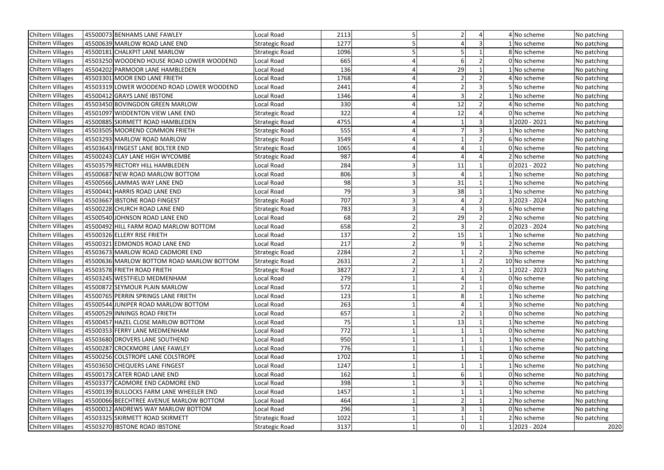| Chiltern Villages        | 45500073 BENHAMS LANE FAWLEY              | Local Road            | 2113 |    |  | 4 No scheme     | No patching |
|--------------------------|-------------------------------------------|-----------------------|------|----|--|-----------------|-------------|
| <b>Chiltern Villages</b> | 45500639 MARLOW ROAD LANE END             | Strategic Road        | 1277 |    |  | 1 No scheme     | No patching |
| Chiltern Villages        | 45500181 CHALKPIT LANE MARLOW             | <b>Strategic Road</b> | 1096 |    |  | 8 No scheme     | No patching |
| <b>Chiltern Villages</b> | 45503250 WOODEND HOUSE ROAD LOWER WOODEND | Local Road            | 665  |    |  | 0 No scheme     | No patching |
| Chiltern Villages        | 45504202 PARMOOR LANE HAMBLEDEN           | Local Road            | 136  | 29 |  | 1 No scheme     | No patching |
| <b>Chiltern Villages</b> | 45503301 MOOR END LANE FRIETH             | Local Road            | 1768 |    |  | 4 No scheme     | No patching |
| Chiltern Villages        | 45503319 LOWER WOODEND ROAD LOWER WOODEND | Local Road            | 2441 |    |  | 5 No scheme     | No patching |
| <b>Chiltern Villages</b> | 45500412 GRAYS LANE IBSTONE               | Local Road            | 1346 |    |  | 1 No scheme     | No patching |
| <b>Chiltern Villages</b> | 45503450 BOVINGDON GREEN MARLOW           | Local Road            | 330  | 12 |  | 4 No scheme     | No patching |
| <b>Chiltern Villages</b> | 45501097 WIDDENTON VIEW LANE END          | <b>Strategic Road</b> | 322  | 12 |  | 0 No scheme     | No patching |
| Chiltern Villages        | 45500885 SKIRMETT ROAD HAMBLEDEN          | <b>Strategic Road</b> | 4755 |    |  | 3 2020 - 2021   | No patching |
| <b>Chiltern Villages</b> | 45503505 MOOREND COMMON FRIETH            | <b>Strategic Road</b> | 555  |    |  | 1 No scheme     | No patching |
| Chiltern Villages        | 45503293 MARLOW ROAD MARLOW               | <b>Strategic Road</b> | 3549 |    |  | 6 No scheme     | No patching |
| <b>Chiltern Villages</b> | 45503643 FINGEST LANE BOLTER END          | <b>Strategic Road</b> | 1065 |    |  | 0 No scheme     | No patching |
| Chiltern Villages        | 45500243 CLAY LANE HIGH WYCOMBE           | <b>Strategic Road</b> | 987  |    |  | 2 No scheme     | No patching |
| Chiltern Villages        | 45503579 RECTORY HILL HAMBLEDEN           | Local Road            | 284  | 11 |  | $0 2021 - 2022$ | No patching |
| Chiltern Villages        | 45500687 NEW ROAD MARLOW BOTTOM           | Local Road            | 806  |    |  | 1 No scheme     | No patching |
| Chiltern Villages        | 45500566 LAMMAS WAY LANE END              | Local Road            | 98   | 31 |  | 1 No scheme     | No patching |
| Chiltern Villages        | 45500441 HARRIS ROAD LANE END             | Local Road            | 79   | 38 |  | 1 No scheme     | No patching |
| <b>Chiltern Villages</b> | 45503667 IBSTONE ROAD FINGEST             | <b>Strategic Road</b> | 707  |    |  | 3 2023 - 2024   | No patching |
| Chiltern Villages        | 45500228 CHURCH ROAD LANE END             | <b>Strategic Road</b> | 783  |    |  | 6 No scheme     | No patching |
| Chiltern Villages        | 45500540 JOHNSON ROAD LANE END            | Local Road            | 68   | 29 |  | 2 No scheme     | No patching |
| Chiltern Villages        | 45500492 HILL FARM ROAD MARLOW BOTTOM     | Local Road            | 658  |    |  | $0 2023 - 2024$ | No patching |
| <b>Chiltern Villages</b> | 45500326 ELLERY RISE FRIETH               | Local Road            | 137  | 15 |  | 1 No scheme     | No patching |
| Chiltern Villages        | 45500321 EDMONDS ROAD LANE END            | Local Road            | 217  |    |  | 2 No scheme     | No patching |
| Chiltern Villages        | 45503673 MARLOW ROAD CADMORE END          | <b>Strategic Road</b> | 2284 |    |  | 3 No scheme     | No patching |
| Chiltern Villages        | 45500636 MARLOW BOTTOM ROAD MARLOW BOTTOM | <b>Strategic Road</b> | 2631 |    |  | 10 No scheme    | No patching |
| <b>Chiltern Villages</b> | 45503578 FRIETH ROAD FRIETH               | <b>Strategic Road</b> | 3827 |    |  | 1 2022 - 2023   | No patching |
| Chiltern Villages        | 45503245 WESTFIELD MEDMENHAM              | Local Road            | 279  |    |  | 0 No scheme     | No patching |
| Chiltern Villages        | 45500872 SEYMOUR PLAIN MARLOW             | Local Road            | 572  |    |  | 0 No scheme     | No patching |
| <b>Chiltern Villages</b> | 45500765 PERRIN SPRINGS LANE FRIETH       | Local Road            | 123  |    |  | 1 No scheme     | No patching |
| Chiltern Villages        | 45500544 JUNIPER ROAD MARLOW BOTTOM       | Local Road            | 263  |    |  | 3 No scheme     | No patching |
| Chiltern Villages        | 45500529 INNINGS ROAD FRIETH              | Local Road            | 657  |    |  | 0 No scheme     | No patching |
| <b>Chiltern Villages</b> | 45500457 HAZEL CLOSE MARLOW BOTTOM        | Local Road            | 75   | 13 |  | 1 No scheme     | No patching |
| Chiltern Villages        | 45500353 FERRY LANE MEDMENHAM             | Local Road            | 772  |    |  | 0 No scheme     | No patching |
| Chiltern Villages        | 45503680 DROVERS LANE SOUTHEND            | Local Road            | 950  |    |  | 1 No scheme     | No patching |
| Chiltern Villages        | 45500287 CROCKMORE LANE FAWLEY            | Local Road            | 776  |    |  | 1 No scheme     | No patching |
| Chiltern Villages        | 45500256 COLSTROPE LANE COLSTROPE         | Local Road            | 1702 |    |  | 0 No scheme     | No patching |
| Chiltern Villages        | 45503650 CHEQUERS LANE FINGEST            | Local Road            | 1247 |    |  | 1 No scheme     | No patching |
| Chiltern Villages        | 45500173 CATER ROAD LANE END              | Local Road            | 162  |    |  | 0 No scheme     | No patching |
| Chiltern Villages        | 45503377 CADMORE END CADMORE END          | Local Road            | 398  |    |  | 0 No scheme     | No patching |
| <b>Chiltern Villages</b> | 45500139 BULLOCKS FARM LANE WHEELER END   | Local Road            | 1457 |    |  | 1 No scheme     | No patching |
| Chiltern Villages        | 45500066 BEECHTREE AVENUE MARLOW BOTTOM   | Local Road            | 464  |    |  | 2 No scheme     | No patching |
| Chiltern Villages        | 45500012 ANDREWS WAY MARLOW BOTTOM        | Local Road            | 296  |    |  | 0 No scheme     | No patching |
| Chiltern Villages        | 45503325 SKIRMETT ROAD SKIRMETT           | <b>Strategic Road</b> | 1022 |    |  | 2 No scheme     | No patching |
| <b>Chiltern Villages</b> | 45503270 IBSTONE ROAD IBSTONE             | <b>Strategic Road</b> | 3137 |    |  | 1 2023 - 2024   | 2020        |